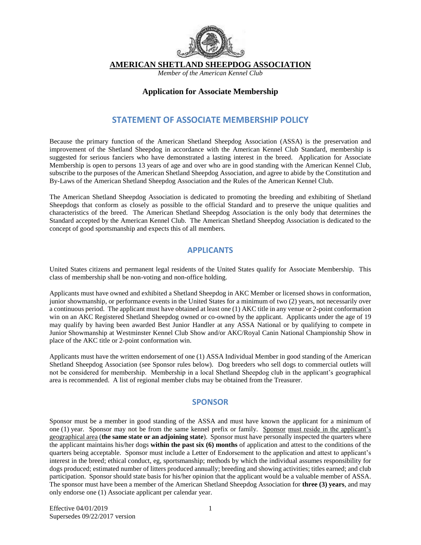

**AMERICAN SHETLAND SHEEPDOG ASSOCIATION** 

*Member of the American Kennel Club* 

#### **Application for Associate Membership**

#### **STATEMENT OF ASSOCIATE MEMBERSHIP POLICY**

Because the primary function of the American Shetland Sheepdog Association (ASSA) is the preservation and improvement of the Shetland Sheepdog in accordance with the American Kennel Club Standard, membership is suggested for serious fanciers who have demonstrated a lasting interest in the breed. Application for Associate Membership is open to persons 13 years of age and over who are in good standing with the American Kennel Club, subscribe to the purposes of the American Shetland Sheepdog Association, and agree to abide by the Constitution and By-Laws of the American Shetland Sheepdog Association and the Rules of the American Kennel Club.

The American Shetland Sheepdog Association is dedicated to promoting the breeding and exhibiting of Shetland Sheepdogs that conform as closely as possible to the official Standard and to preserve the unique qualities and characteristics of the breed. The American Shetland Sheepdog Association is the only body that determines the Standard accepted by the American Kennel Club. The American Shetland Sheepdog Association is dedicated to the concept of good sportsmanship and expects this of all members.

#### **APPLICANTS**

United States citizens and permanent legal residents of the United States qualify for Associate Membership. This class of membership shall be non-voting and non-office holding.

Applicants must have owned and exhibited a Shetland Sheepdog in AKC Member or licensed shows in conformation, junior showmanship, or performance events in the United States for a minimum of two (2) years, not necessarily over a continuous period. The applicant must have obtained at least one (1) AKC title in any venue or 2-point conformation win on an AKC Registered Shetland Sheepdog owned or co-owned by the applicant. Applicants under the age of 19 may qualify by having been awarded Best Junior Handler at any ASSA National or by qualifying to compete in Junior Showmanship at Westminster Kennel Club Show and/or AKC/Royal Canin National Championship Show in place of the AKC title or 2-point conformation win.

Applicants must have the written endorsement of one (1) ASSA Individual Member in good standing of the American Shetland Sheepdog Association (see Sponsor rules below). Dog breeders who sell dogs to commercial outlets will not be considered for membership. Membership in a local Shetland Sheepdog club in the applicant's geographical area is recommended. A list of regional member clubs may be obtained from the Treasurer.

#### **SPONSOR**

Sponsor must be a member in good standing of the ASSA and must have known the applicant for a minimum of one (1) year. Sponsor may not be from the same kennel prefix or family. Sponsor must reside in the applicant's geographical area (**the same state or an adjoining state**). Sponsor must have personally inspected the quarters where the applicant maintains his/her dogs **within the past six (6) months** of application and attest to the conditions of the quarters being acceptable. Sponsor must include a Letter of Endorsement to the application and attest to applicant's interest in the breed; ethical conduct, eg, sportsmanship; methods by which the individual assumes responsibility for dogs produced; estimated number of litters produced annually; breeding and showing activities; titles earned; and club participation. Sponsor should state basis for his/her opinion that the applicant would be a valuable member of ASSA. The sponsor must have been a member of the American Shetland Sheepdog Association for **three (3) years**, and may only endorse one (1) Associate applicant per calendar year.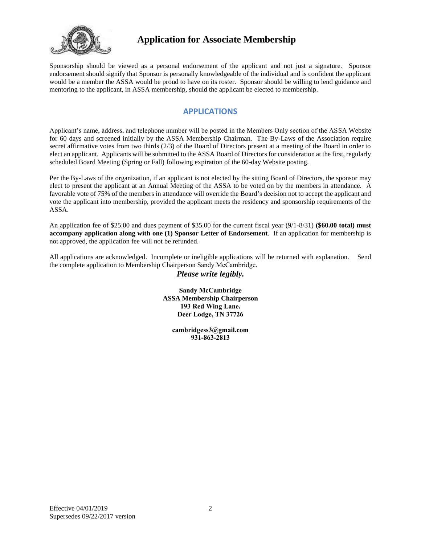

Sponsorship should be viewed as a personal endorsement of the applicant and not just a signature. Sponsor endorsement should signify that Sponsor is personally knowledgeable of the individual and is confident the applicant would be a member the ASSA would be proud to have on its roster. Sponsor should be willing to lend guidance and mentoring to the applicant, in ASSA membership, should the applicant be elected to membership.

#### **APPLICATIONS**

Applicant's name, address, and telephone number will be posted in the Members Only section of the ASSA Website for 60 days and screened initially by the ASSA Membership Chairman. The By-Laws of the Association require secret affirmative votes from two thirds (2/3) of the Board of Directors present at a meeting of the Board in order to elect an applicant. Applicants will be submitted to the ASSA Board of Directors for consideration at the first, regularly scheduled Board Meeting (Spring or Fall) following expiration of the 60-day Website posting.

Per the By-Laws of the organization, if an applicant is not elected by the sitting Board of Directors, the sponsor may elect to present the applicant at an Annual Meeting of the ASSA to be voted on by the members in attendance. A favorable vote of 75% of the members in attendance will override the Board's decision not to accept the applicant and vote the applicant into membership, provided the applicant meets the residency and sponsorship requirements of the ASSA.

An application fee of \$25.00 and dues payment of \$35.00 for the current fiscal year (9/1-8/31) **(\$60.00 total) must accompany application along with one (1) Sponsor Letter of Endorsement**. If an application for membership is not approved, the application fee will not be refunded.

All applications are acknowledged. Incomplete or ineligible applications will be returned with explanation. Send the complete application to Membership Chairperson Sandy McCambridge.

*Please write legibly.*

**Sandy McCambridge ASSA Membership Chairperson 193 Red Wing Lane. Deer Lodge, TN 37726**

> **ca[mbridgess3@gmail.c](mailto:sheltie@mctag.com)om 931-863-2813**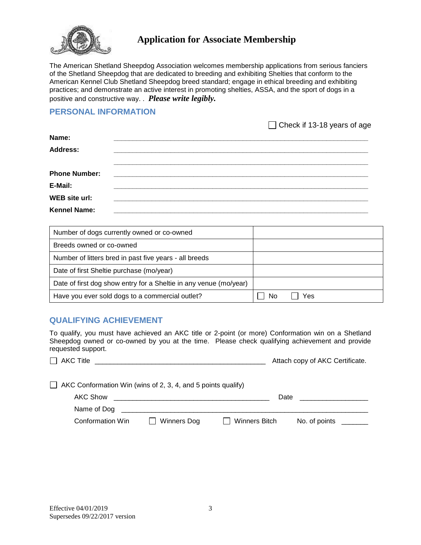

The American Shetland Sheepdog Association welcomes membership applications from serious fanciers of the Shetland Sheepdog that are dedicated to breeding and exhibiting Shelties that conform to the American Kennel Club Shetland Sheepdog breed standard; engage in ethical breeding and exhibiting practices; and demonstrate an active interest in promoting shelties, ASSA, and the sport of dogs in a positive and constructive way. . *Please write legibly.*

#### **PERSONAL INFORMATION**

 $\Box$  Check if 13-18 years of age

| Name:                |                                                                                                                       |  |
|----------------------|-----------------------------------------------------------------------------------------------------------------------|--|
| <b>Address:</b>      |                                                                                                                       |  |
|                      |                                                                                                                       |  |
| <b>Phone Number:</b> |                                                                                                                       |  |
| E-Mail:              |                                                                                                                       |  |
| WEB site url:        | <u> 1990 - Jan James Barn, mars and de film and de film and de film and de film and de film and de film and de fi</u> |  |
| <b>Kennel Name:</b>  |                                                                                                                       |  |

| Number of dogs currently owned or co-owned                        |           |
|-------------------------------------------------------------------|-----------|
| Breeds owned or co-owned                                          |           |
| Number of litters bred in past five years - all breeds            |           |
| Date of first Sheltie purchase (mo/year)                          |           |
| Date of first dog show entry for a Sheltie in any venue (mo/year) |           |
| Have you ever sold dogs to a commercial outlet?                   | N٥<br>Yes |

#### **QUALIFYING ACHIEVEMENT**

To qualify, you must have achieved an AKC title or 2-point (or more) Conformation win on a Shetland Sheepdog owned or co-owned by you at the time. Please check qualifying achievement and provide requested support.

| <b>AKC Title</b> | Attach copy of AKC Certificate. |
|------------------|---------------------------------|
|------------------|---------------------------------|

| $\Box$ AKC Conformation Win (wins of 2, 3, 4, and 5 points qualify) |             |                      |               |  |
|---------------------------------------------------------------------|-------------|----------------------|---------------|--|
| AKC Show                                                            |             | Date                 |               |  |
| Name of Dog                                                         |             |                      |               |  |
| <b>Conformation Win</b>                                             | Winners Dog | <b>Winners Bitch</b> | No. of points |  |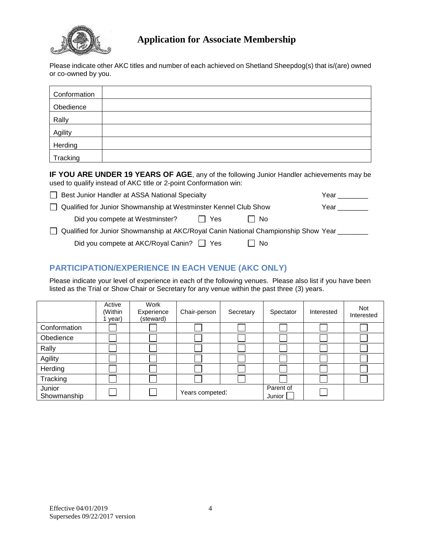

Please indicate other AKC titles and number of each achieved on Shetland Sheepdog(s) that is/(are) owned or co-owned by you.

| Conformation |  |
|--------------|--|
| Obedience    |  |
| Rally        |  |
| Agility      |  |
| Herding      |  |
| Tracking     |  |

**IF YOU ARE UNDER 19 YEARS OF AGE**, any of the following Junior Handler achievements may be used to qualify instead of AKC title or 2-point Conformation win:

| Best Junior Handler at ASSA National Specialty                                        | Year |
|---------------------------------------------------------------------------------------|------|
| Qualified for Junior Showmanship at Westminster Kennel Club Show                      | Year |
| Did you compete at Westminster?<br>∣No<br>II Yes                                      |      |
| □ Qualified for Junior Showmanship at AKC/Royal Canin National Championship Show Year |      |
| Did you compete at AKC/Royal Canin? Thes<br>No.                                       |      |

## **PARTICIPATION/EXPERIENCE IN EACH VENUE (AKC ONLY)**

Please indicate your level of experience in each of the following venues. Please also list if you have been listed as the Trial or Show Chair or Secretary for any venue within the past three (3) years.

|                       | Active<br>(Within<br>year) | Work<br>Experience<br>(steward) | Chair-person    | Secretary | Spectator           | Interested | Not<br>Interested |
|-----------------------|----------------------------|---------------------------------|-----------------|-----------|---------------------|------------|-------------------|
| Conformation          |                            |                                 |                 |           |                     |            |                   |
| Obedience             |                            |                                 |                 |           |                     |            |                   |
| Rally                 |                            |                                 |                 |           |                     |            |                   |
| Agility               |                            |                                 |                 |           |                     |            |                   |
| Herding               |                            |                                 |                 |           |                     |            |                   |
| Tracking              |                            |                                 |                 |           |                     |            |                   |
| Junior<br>Showmanship |                            |                                 | Years competed: |           | Parent of<br>Junior |            |                   |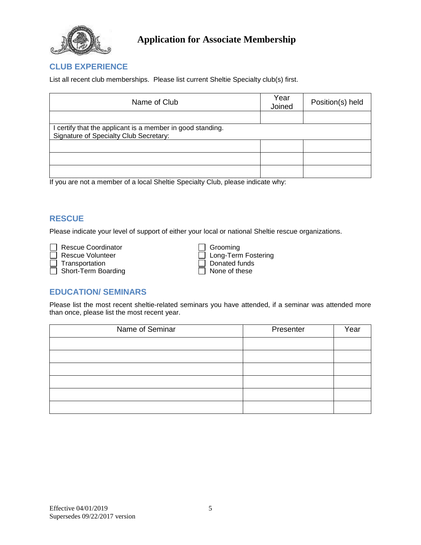

#### **CLUB EXPERIENCE**

List all recent club memberships. Please list current Sheltie Specialty club(s) first.

| Name of Club                                                                                         | Year<br>Joined | Position(s) held |
|------------------------------------------------------------------------------------------------------|----------------|------------------|
|                                                                                                      |                |                  |
| I certify that the applicant is a member in good standing.<br>Signature of Specialty Club Secretary: |                |                  |
|                                                                                                      |                |                  |
|                                                                                                      |                |                  |
|                                                                                                      |                |                  |

If you are not a member of a local Sheltie Specialty Club, please indicate why:

## **RESCUE**

Please indicate your level of support of either your local or national Sheltie rescue organizations.

 $\Box$  Short-Term Boarding

| <b>Rescue Coordinator</b> | $\Box$ Grooming       |
|---------------------------|-----------------------|
| Rescue Volunteer          | □ Long-Term Fostering |
| Transportation            | Donated funds         |
| Short-Term Boarding       | None of these         |

#### **EDUCATION/ SEMINARS**

Please list the most recent sheltie-related seminars you have attended, if a seminar was attended more than once, please list the most recent year.

| Name of Seminar | Presenter | Year |
|-----------------|-----------|------|
|                 |           |      |
|                 |           |      |
|                 |           |      |
|                 |           |      |
|                 |           |      |
|                 |           |      |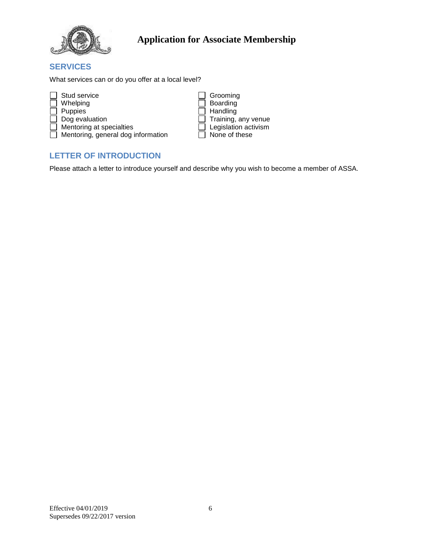

## **SERVICES**

What services can or do you offer at a local level?

| Stud service                              | Grooming                    |
|-------------------------------------------|-----------------------------|
| Whelping                                  | Boarding                    |
| Puppies                                   | Handling                    |
| $\Box$ Dog evaluation                     | $\Box$ Training, any venue  |
| $\Box$ Mentoring at specialties           | $\Box$ Legislation activism |
| $\Box$ Mentoring, general dog information | None of these               |

# **LETTER OF INTRODUCTION**

Please attach a letter to introduce yourself and describe why you wish to become a member of ASSA.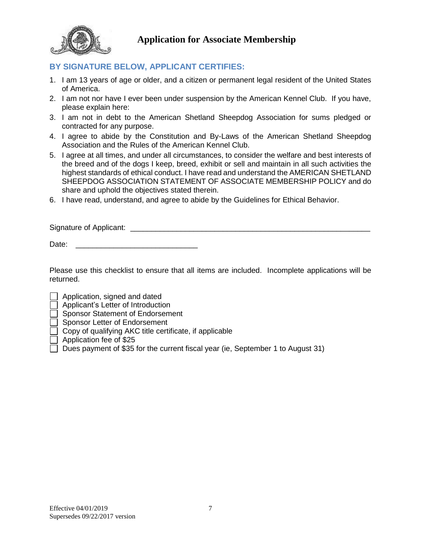

## **BY SIGNATURE BELOW, APPLICANT CERTIFIES:**

- 1. I am 13 years of age or older, and a citizen or permanent legal resident of the United States of America.
- 2. I am not nor have I ever been under suspension by the American Kennel Club. If you have, please explain here:
- 3. I am not in debt to the American Shetland Sheepdog Association for sums pledged or contracted for any purpose.
- 4. I agree to abide by the Constitution and By-Laws of the American Shetland Sheepdog Association and the Rules of the American Kennel Club.
- 5. I agree at all times, and under all circumstances, to consider the welfare and best interests of the breed and of the dogs I keep, breed, exhibit or sell and maintain in all such activities the highest standards of ethical conduct. I have read and understand the AMERICAN SHETLAND SHEEPDOG ASSOCIATION STATEMENT OF ASSOCIATE MEMBERSHIP POLICY and do share and uphold the objectives stated therein.
- 6. I have read, understand, and agree to abide by the Guidelines for Ethical Behavior.

Signature of Applicant:  $\Box$ 

Date:

Please use this checklist to ensure that all items are included. Incomplete applications will be returned.

Application, signed and dated

Applicant's Letter of Introduction

Sponsor Statement of Endorsement

Sponsor Letter of Endorsement

Copy of qualifying AKC title certificate, if applicable

Application fee of \$25

 $\Box$  Dues payment of \$35 for the current fiscal year (ie, September 1 to August 31)